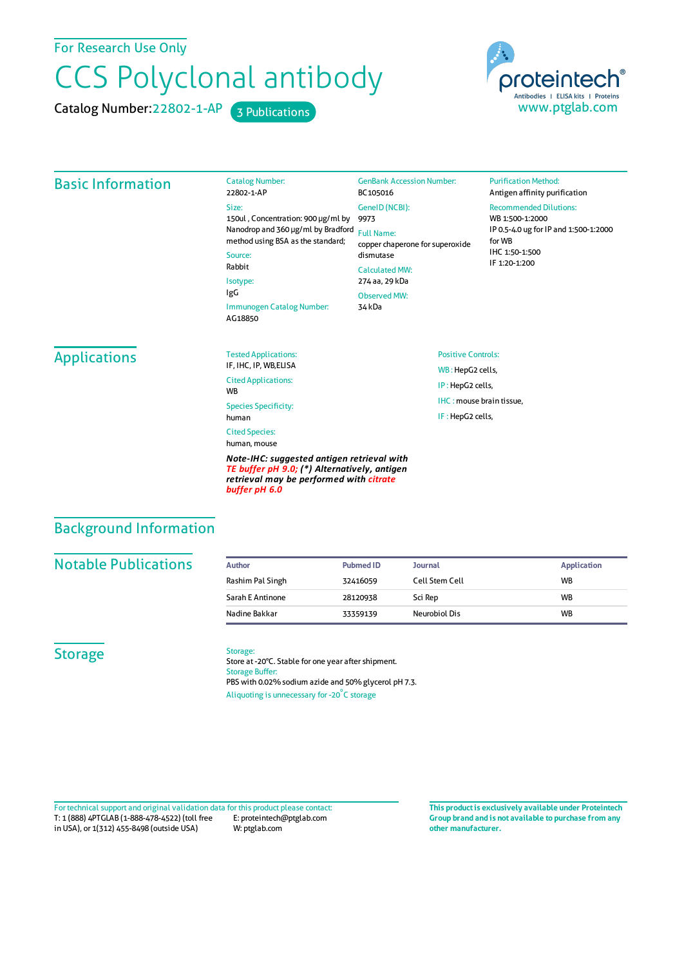For Research Use Only

# CCS Polyclonal antibody

Catalog Number: 22802-1-AP 3 Publications



#### Basic Information Catalog Number: 22802-1-AP Size: 150ul , Concentration: 900 μg/ml by 9973 Nanodrop and 360 μg/ml by Bradford Full Name: method using BSA as the standard; Source: Rabbit Isotype: IgG Immunogen Catalog Number: AG18850 GenBank Accession Number: BC105016 GeneID(NCBI): copper chaperone for superoxide dismutase CalculatedMW: 274 aa, 29 kDa ObservedMW: 34 kDa **Purification Method:** Antigen affinity purification Recommended Dilutions: WB 1:500-1:2000 IP 0.5-4.0 ug forIP and 1:500-1:2000 forWB IHC 1:50-1:500 IF 1:20-1:200 Applications Tested Applications: IF, IHC, IP, WB,ELISA Cited Applications: **W<sub>R</sub>** Species Specificity: human Cited Species: human, mouse *Note-IHC: suggested antigen retrieval with TE buffer pH 9.0; (\*) Alternatively, antigen retrieval may be performed with citrate buffer pH 6.0* Positive Controls: WB : HepG2 cells, IP : HepG2 cells, IHC : mouse brain tissue, IF : HepG2 cells, Background Information

#### **Notable Publications**

| Author           | <b>Pubmed ID</b> | <b>Journal</b> | <b>Application</b> |
|------------------|------------------|----------------|--------------------|
| Rashim Pal Singh | 32416059         | Cell Stem Cell | <b>WB</b>          |
| Sarah E Antinone | 28120938         | Sci Rep        | <b>WB</b>          |
| Nadine Bakkar    | 33359139         | Neurobiol Dis  | <b>WB</b>          |

### **Storage**

#### Storage:

Store at -20°C. Stable for one year after shipment. Storage Buffer: PBS with 0.02% sodium azide and 50% glycerol pH 7.3. Aliquoting is unnecessary for -20<sup>°</sup>C storage

T: 1 (888) 4PTGLAB (1-888-478-4522) (toll free in USA), or 1(312) 455-8498 (outside USA) E: proteintech@ptglab.com W: ptglab.com Fortechnical support and original validation data forthis product please contact: **This productis exclusively available under Proteintech**

**Group brand and is not available to purchase from any other manufacturer.**